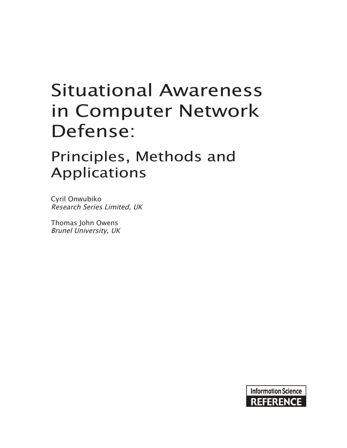# Situational Awareness in Computer Network Defense:

## Principles, Methods and Applications

Cyril Onwubiko Research Series Limited, UK

Thomas John Owens Brunel University, UK

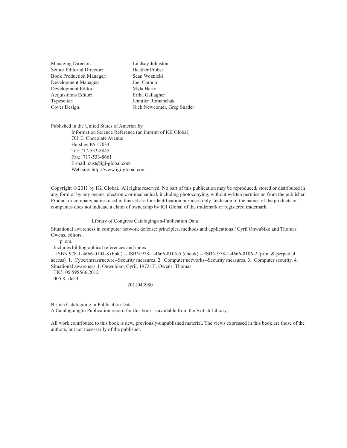| Managing Director:              | Lindsay Johnston           |  |
|---------------------------------|----------------------------|--|
| Senior Editorial Director:      | <b>Heather Probst</b>      |  |
| <b>Book Production Manager:</b> | Sean Woznicki              |  |
| Development Manager:            | Joel Gamon                 |  |
| Development Editor:             | Myla Harty                 |  |
| <b>Acquisitions Editor:</b>     | Erika Gallagher            |  |
| Typesetter:                     | Jennifer Romanchak         |  |
| Cover Design:                   | Nick Newcomer, Greg Snader |  |
|                                 |                            |  |

Published in the United States of America by Information Science Reference (an imprint of IGI Global) 701 E. Chocolate Avenue Hershey PA 17033 Tel: 717-533-8845 Fax: 717-533-8661 E-mail: cust@igi-global.com Web site: http://www.igi-global.com

Copyright © 2011 by IGI Global. All rights reserved. No part of this publication may be reproduced, stored or distributed in any form or by any means, electronic or mechanical, including photocopying, without written permission from the publisher. Product or company names used in this set are for identification purposes only. Inclusion of the names of the products or companies does not indicate a claim of ownership by IGI Global of the trademark or registered trademark.

#### Library of Congress Cataloging-in-Publication Data

Situational awareness in computer network defense: principles, methods and applications / Cyril Onwubiko and Thomas Owens, editors.

p. cm.

Includes bibliographical references and index.

 ISBN 978-1-4666-0104-8 (hbk.) -- ISBN 978-1-4666-0105-5 (ebook) -- ISBN 978-1-4666-0106-2 (print & perpetual access) 1. Cyberinfrastructure--Security measures. 2. Computer networks--Security measures. 3. Computer security. 4. Situational awareness. I. Onwubiko, Cyril, 1972- II. Owens, Thomas.

TK5105.59S566 2012

005.8--dc23

2011043980

British Cataloguing in Publication Data

A Cataloguing in Publication record for this book is available from the British Library.

All work contributed to this book is new, previously-unpublished material. The views expressed in this book are those of the authors, but not necessarily of the publisher.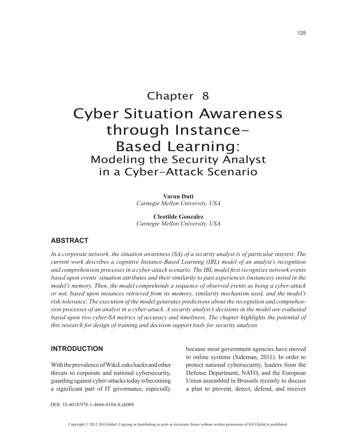### Chapter 8 Cyber Situation Awareness through Instance-Based Learning: Modeling the Security Analyst in a Cyber-Attack Scenario

**Varun Dutt** *Carnegie Mellon University, USA*

**Cleotilde Gonzalez** *Carnegie Mellon University, USA*

#### **ABSTRACT**

*In a corporate network, the situation awareness (SA) of a security analyst is of particular interest. The current work describes a cognitive Instance-Based Learning (IBL) model of an analyst's recognition and comprehension processes in a cyber-attack scenario. The IBL model first recognizes network events based upon events' situation attributes and their similarity to past experiences (instances) stored in the model's memory. Then, the model comprehends a sequence of observed events as being a cyber-attack or not, based upon instances retrieved from its memory, similarity mechanism used, and the model's risk-tolerance. The execution of the model generates predictions about the recognition and comprehension processes of an analyst in a cyber-attack. A security analyst's decisions in the model are evaluated based upon two cyber-SA metrics of accuracy and timeliness. The chapter highlights the potential of this research for design of training and decision support tools for security analysts.*

#### **INTRODUCTION**

With the prevalence of WikiLeaks hacks and other threats to corporate and national cybersecurity, guarding against cyber-attacks today is becoming a significant part of IT governance, especially because most government agencies have moved to online systems (Sideman, 2011). In order to protect national cybersecurity, leaders from the Defense Department, NATO, and the European Union assembled in Brussels recently to discuss a plan to prevent, detect, defend, and recover

DOI: 10.4018/978-1-4666-0104-8.ch008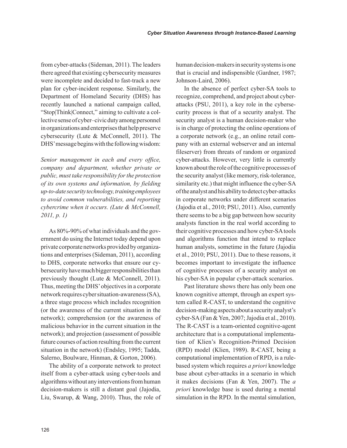from cyber-attacks (Sideman, 2011). The leaders there agreed that existing cybersecurity measures were incomplete and decided to fast-track a new plan for cyber-incident response. Similarly, the Department of Homeland Security (DHS) has recently launched a national campaign called, "Stop|Think|Connect," aiming to cultivate a collective sense of cyber–civic duty among personnel in organizations and enterprises that help preserve cybersecurity (Lute & McConnell, 2011). The DHS' message begins with the following wisdom:

*Senior management in each and every office, company and department, whether private or public, must take responsibility for the protection of its own systems and information, by fielding up-to-date security technology, training employees to avoid common vulnerabilities, and reporting cybercrime when it occurs. (Lute & McConnell, 2011, p. 1)*

As 80%-90% of what individuals and the government do using the Internet today depend upon private corporate networks provided by organizations and enterprises (Sideman, 2011), according to DHS, corporate networks that ensure our cybersecurity have much bigger responsibilities than previously thought (Lute & McConnell, 2011). Thus, meeting the DHS' objectives in a corporate network requires cyber situation-awareness (SA), a three stage process which includes recognition (or the awareness of the current situation in the network); comprehension (or the awareness of malicious behavior in the current situation in the network); and projection (assessment of possible future courses of action resulting from the current situation in the network) (Endsley, 1995; Tadda, Salerno, Boulware, Hinman, & Gorton, 2006).

The ability of a corporate network to protect itself from a cyber-attack using cyber-tools and algorithms without any interventions from human decision-makers is still a distant goal (Jajodia, Liu, Swarup, & Wang, 2010). Thus, the role of human decision-makers in security systems is one that is crucial and indispensible (Gardner, 1987; Johnson-Laird, 2006).

In the absence of perfect cyber-SA tools to recognize, comprehend, and project about cyberattacks (PSU, 2011), a key role in the cybersecurity process is that of a security analyst. The security analyst is a human decision-maker who is in charge of protecting the online operations of a corporate network (e.g., an online retail company with an external webserver and an internal fileserver) from threats of random or organized cyber-attacks. However, very little is currently known about the role of the cognitive processes of the security analyst (like memory, risk-tolerance, similarity etc.) that might influence the cyber-SA of the analyst and his ability to detect cyber-attacks in corporate networks under different scenarios (Jajodia et al., 2010; PSU, 2011). Also, currently there seems to be a big gap between how security analysts function in the real world according to their cognitive processes and how cyber-SA tools and algorithms function that intend to replace human analysts, sometime in the future (Jajodia et al., 2010; PSU, 2011). Due to these reasons, it becomes important to investigate the influence of cognitive processes of a security analyst on his cyber-SA in popular cyber-attack scenarios.

Past literature shows there has only been one known cognitive attempt, through an expert system called R-CAST, to understand the cognitive decision-making aspects about a security analyst's cyber-SA (Fan & Yen, 2007; Jajodia et al., 2010). The R-CAST is a team-oriented cognitive-agent architecture that is a computational implementation of Klien's Recognition-Primed Decision (RPD) model (Klien, 1989). R-CAST, being a computational implementation of RPD, is a rulebased system which requires *a priori* knowledge base about cyber-attacks in a scenario in which it makes decisions (Fan & Yen, 2007). The *a priori* knowledge base is used during a mental simulation in the RPD. In the mental simulation,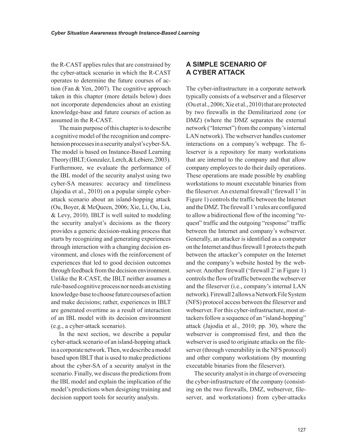the R-CAST applies rules that are constrained by the cyber-attack scenario in which the R-CAST operates to determine the future courses of action (Fan & Yen, 2007). The cognitive approach taken in this chapter (more details below) does not incorporate dependencies about an existing knowledge-base and future courses of action as assumed in the R-CAST.

The main purpose of this chapter is to describe a cognitive model of the recognition and comprehension processes in a security analyst's cyber-SA. The model is based on Instance-Based Learning Theory (IBLT; Gonzalez, Lerch, & Lebiere, 2003). Furthermore, we evaluate the performance of the IBL model of the security analyst using two cyber-SA measures: accuracy and timeliness (Jajodia et al., 2010) on a popular simple cyberattack scenario about an island-hopping attack (Ou, Boyer, & McQueen, 2006; Xie, Li, Ou, Liu, & Levy, 2010). IBLT is well suited to modeling the security analyst's decisions as the theory provides a generic decision-making process that starts by recognizing and generating experiences through interaction with a changing decision environment, and closes with the reinforcement of experiences that led to good decision outcomes through feedback from the decision environment. Unlike the R-CAST, the IBLT neither assumes a rule-based cognitive process nor needs an existing knowledge-base to choose future courses of action and make decisions; rather, experiences in IBLT are generated overtime as a result of interaction of an IBL model with its decision environment (e.g., a cyber-attack scenario).

In the next section, we describe a popular cyber-attack scenario of an island-hopping attack in a corporate network. Then, we describe a model based upon IBLT that is used to make predictions about the cyber-SA of a security analyst in the scenario. Finally, we discuss the predictions from the IBL model and explain the implication of the model's predictions when designing training and decision support tools for security analysts.

#### **A SIMPLE SCENARIO OF A CYBER ATTACK**

The cyber-infrastructure in a corporate network typically consists of a webserver and a fileserver (Ou et al., 2006; Xie et al., 2010) that are protected by two firewalls in the Demilitarized zone (or DMZ) (where the DMZ separates the external network ("Internet") from the company's internal LAN network). The webserver handles customer interactions on a company's webpage. The fileserver is a repository for many workstations that are internal to the company and that allow company employees to do their daily operations. These operations are made possible by enabling workstations to mount executable binaries from the fileserver. An external firewall ('firewall 1' in Figure 1) controls the traffic between the Internet and the DMZ. The firewall 1's rules are configured to allow a bidirectional flow of the incoming "request" traffic and the outgoing "response" traffic between the Internet and company's webserver. Generally, an attacker is identified as a computer on the Internet and thus firewall 1 protects the path between the attacker's computer on the Internet and the company's website hosted by the webserver. Another firewall ('firewall 2' in Figure 1) controls the flow of traffic between the webserver and the fileserver (i.e., company's internal LAN network). Firewall 2 allows a Network File System (NFS) protocol access between the fileserver and webserver. For this cyber-infrastructure, most attackers follow a sequence of an "island-hopping" attack (Jajodia et al., 2010; pp. 30), where the webserver is compromised first, and then the webserver is used to originate attacks on the fileserver (through venerability in the NFS protocol) and other company workstations (by mounting executable binaries from the fileserver).

The security analyst is in charge of overseeing the cyber-infrastructure of the company (consisting on the two firewalls, DMZ, webserver, fileserver, and workstations) from cyber-attacks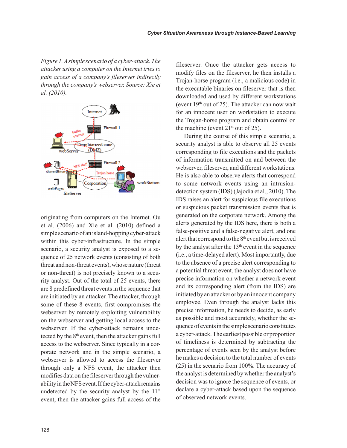*Figure 1. A simple scenario of a cyber-attack. The attacker using a computer on the Internet tries to gain access of a company's fileserver indirectly through the company's webserver. Source: Xie et al. (2010).*



originating from computers on the Internet. Ou et al. (2006) and Xie et al. (2010) defined a simple scenario of an island-hopping cyber-attack within this cyber-infrastructure. In the simple scenario, a security analyst is exposed to a sequence of 25 network events (consisting of both threat and non-threat events), whose nature (threat or non-threat) is not precisely known to a security analyst. Out of the total of 25 events, there are 8 predefined threat events in the sequence that are initiated by an attacker. The attacker, through some of these 8 events, first compromises the webserver by remotely exploiting vulnerability on the webserver and getting local access to the webserver. If the cyber-attack remains undetected by the 8th event, then the attacker gains full access to the webserver. Since typically in a corporate network and in the simple scenario, a webserver is allowed to access the fileserver through only a NFS event, the attacker then modifies data on the fileserver through the vulnerability in the NFS event. If the cyber-attack remains undetected by the security analyst by the  $11<sup>th</sup>$ event, then the attacker gains full access of the fileserver. Once the attacker gets access to modify files on the fileserver, he then installs a Trojan-horse program (i.e., a malicious code) in the executable binaries on fileserver that is then downloaded and used by different workstations (event  $19<sup>th</sup>$  out of 25). The attacker can now wait for an innocent user on workstation to execute the Trojan-horse program and obtain control on the machine (event  $21<sup>st</sup>$  out of 25).

During the course of this simple scenario, a security analyst is able to observe all 25 events corresponding to file executions and the packets of information transmitted on and between the webserver, fileserver, and different workstations. He is also able to observe alerts that correspond to some network events using an intrusiondetection system (IDS) (Jajodia et al., 2010). The IDS raises an alert for suspicious file executions or suspicious packet transmission events that is generated on the corporate network. Among the alerts generated by the IDS here, there is both a false-positive and a false-negative alert, and one alert that correspond to the 8th event but is received by the analyst after the  $13<sup>th</sup>$  event in the sequence (i.e., a time-delayed alert). Most importantly, due to the absence of a precise alert corresponding to a potential threat event, the analyst does not have precise information on whether a network event and its corresponding alert (from the IDS) are initiated by an attacker or by an innocent company employee. Even through the analyst lacks this precise information, he needs to decide, as early as possible and most accurately, whether the sequence of events in the simple scenario constitutes a cyber-attack. The earliest possible or proportion of timeliness is determined by subtracting the percentage of events seen by the analyst before he makes a decision to the total number of events (25) in the scenario from 100%. The accuracy of the analyst is determined by whether the analyst's decision was to ignore the sequence of events, or declare a cyber-attack based upon the sequence of observed network events.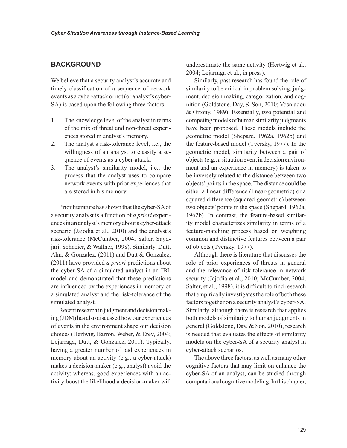#### **BACKGROUND**

We believe that a security analyst's accurate and timely classification of a sequence of network events as a cyber-attack or not (or analyst's cyber-SA) is based upon the following three factors:

- 1. The knowledge level of the analyst in terms of the mix of threat and non-threat experiences stored in analyst's memory.
- 2. The analyst's risk-tolerance level, i.e., the willingness of an analyst to classify a sequence of events as a cyber-attack.
- 3. The analyst's similarity model, i.e., the process that the analyst uses to compare network events with prior experiences that are stored in his memory.

Prior literature has shown that the cyber-SA of a security analyst is a function of *a priori* experiences in an analyst's memory about a cyber-attack scenario (Jajodia et al., 2010) and the analyst's risk-tolerance (McCumber, 2004; Salter, Saydjari, Schneier, & Wallner, 1998). Similarly, Dutt, Ahn, & Gonzalez, (2011) and Dutt & Gonzalez, (2011) have provided *a priori* predictions about the cyber-SA of a simulated analyst in an IBL model and demonstrated that these predictions are influenced by the experiences in memory of a simulated analyst and the risk-tolerance of the simulated analyst.

Recent research in judgment and decision making (JDM) has also discussed how our experiences of events in the environment shape our decision choices (Hertwig, Barron, Weber, & Erev, 2004; Lejarraga, Dutt, & Gonzalez, 2011). Typically, having a greater number of bad experiences in memory about an activity (e.g., a cyber-attack) makes a decision-maker (e.g., analyst) avoid the activity; whereas, good experiences with an activity boost the likelihood a decision-maker will

underestimate the same activity (Hertwig et al., 2004; Lejarraga et al., in press).

Similarly, past research has found the role of similarity to be critical in problem solving, judgment, decision making, categorization, and cognition (Goldstone, Day, & Son, 2010; Vosniadou & Ortony, 1989). Essentially, two potential and competing models of human similarity judgments have been proposed. These models include the geometric model (Shepard, 1962a, 1962b) and the feature-based model (Tversky, 1977). In the geometric model, similarity between a pair of objects (e.g., a situation event in decision environment and an experience in memory) is taken to be inversely related to the distance between two objects' points in the space. The distance could be either a linear difference (linear-geometric) or a squared difference (squared-geometric) between two objects' points in the space (Shepard, 1962a, 1962b). In contrast, the feature-based similarity model characterizes similarity in terms of a feature-matching process based on weighting common and distinctive features between a pair of objects (Tversky, 1977).

Although there is literature that discusses the role of prior experiences of threats in general and the relevance of risk-tolerance in network security (Jajodia et al., 2010; McCumber, 2004; Salter, et al., 1998), it is difficult to find research that empirically investigates the role of both these factors together on a security analyst's cyber-SA. Similarly, although there is research that applies both models of similarity to human judgments in general (Goldstone, Day, & Son, 2010), research is needed that evaluates the effects of similarity models on the cyber-SA of a security analyst in cyber-attack scenarios.

The above three factors, as well as many other cognitive factors that may limit on enhance the cyber-SA of an analyst, can be studied through computational cognitive modeling. In this chapter,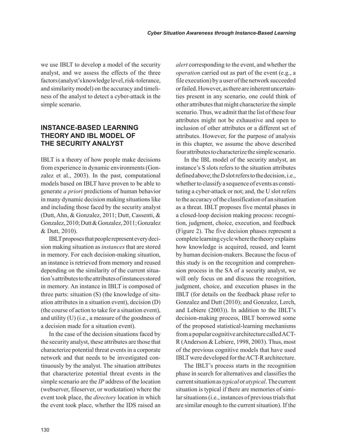we use IBLT to develop a model of the security analyst, and we assess the effects of the three factors (analyst's knowledge level, risk-tolerance, and similarity model) on the accuracy and timeliness of the analyst to detect a cyber-attack in the simple scenario.

#### **INSTANCE-BASED LEARNING THEORY AND IBL MODEL OF THE SECURITY ANALYST**

IBLT is a theory of how people make decisions from experience in dynamic environments (Gonzalez et al., 2003). In the past, computational models based on IBLT have proven to be able to generate *a priori* predictions of human behavior in many dynamic decision making situations like and including those faced by the security analyst (Dutt, Ahn, & Gonzalez, 2011; Dutt, Cassenti, & Gonzalez, 2010; Dutt & Gonzalez, 2011; Gonzalez & Dutt, 2010).

IBLT proposes that people represent every decision making situation as *instances* that are stored in memory. For each decision-making situation, an instance is retrieved from memory and reused depending on the similarity of the current situation's attributes to the attributes of instances stored in memory. An instance in IBLT is composed of three parts: situation (S) (the knowledge of situation attributes in a situation event), decision (D) (the course of action to take for a situation event), and utility (U) (i.e., a measure of the goodness of a decision made for a situation event).

In the case of the decision situations faced by the security analyst, these attributes are those that characterize potential threat events in a corporate network and that needs to be investigated continuously by the analyst. The situation attributes that characterize potential threat events in the simple scenario are the *IP* address of the location (webserver, fileserver, or workstation) where the event took place, the *directory* location in which the event took place, whether the IDS raised an *alert* corresponding to the event, and whether the *operation* carried out as part of the event (e.g., a file execution) by a user of the network succeeded or failed. However, as there are inherent uncertainties present in any scenario, one could think of other attributes that might characterize the simple scenario. Thus, we admit that the list of these four attributes might not be exhaustive and open to inclusion of other attributes or a different set of attributes. However, for the purpose of analysis in this chapter, we assume the above described four attributes to characterize the simple scenario.

In the IBL model of the security analyst, an instance's S slots refers to the situation attributes defined above; the D slot refers to the decision, i.e., whether to classify a sequence of events as constituting a cyber-attack or not; and, the U slot refers to the accuracy of the classification of an situation as a threat. IBLT proposes five mental phases in a closed-loop decision making process: recognition, judgment, choice, execution, and feedback (Figure 2). The five decision phases represent a complete learning cycle where the theory explains how knowledge is acquired, reused, and learnt by human decision-makers. Because the focus of this study is on the recognition and comprehension process in the SA of a security analyst, we will only focus on and discuss the recognition, judgment, choice, and execution phases in the IBLT (for details on the feedback phase refer to Gonzalez and Dutt (2010); and Gonzalez, Lerch, and Lebiere (2003)). In addition to the IBLT's decision-making process, IBLT borrowed some of the proposed statistical-learning mechanisms from a popular cognitive architecture called ACT-R (Anderson & Lebiere, 1998, 2003). Thus, most of the previous cognitive models that have used IBLT were developed for the ACT-R architecture.

The IBLT's process starts in the recognition phase in search for alternatives and classifies the current situation as *typical* or *atypical*. The current situation is typical if there are memories of similar situations (i.e., instances of previous trials that are similar enough to the current situation). If the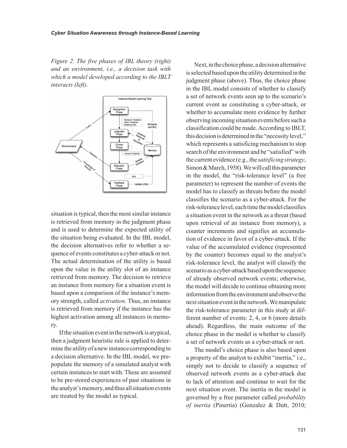*Figure 2. The five phases of IBL theory (right) and an environment, i.e., a decision task with which a model developed according to the IBLT interacts (left).*



situation is typical, then the most similar instance is retrieved from memory in the judgment phase and is used to determine the expected utility of the situation being evaluated. In the IBL model, the decision alternatives refer to whether a sequence of events constitutes a cyber-attack or not. The actual determination of the utility is based upon the value in the utility slot of an instance retrieved from memory. The decision to retrieve an instance from memory for a situation event is based upon a comparison of the instance's memory strength, called *activation*. Thus, an instance is retrieved from memory if the instance has the highest activation among all instances in memory.

If the situation event in the network is atypical, then a judgment heuristic rule is applied to determine the utility of a new instance corresponding to a decision alternative. In the IBL model, we prepopulate the memory of a simulated analyst with certain instances to start with. These are assumed to be pre-stored experiences of past situations in the analyst's memory, and thus all situation events are treated by the model as typical.

Next, in the choice phase, a decision alternative is selected based upon the utility determined in the judgment phase (above). Thus, the choice phase in the IBL model consists of whether to classify a set of network events seen up to the scenario's current event as constituting a cyber-attack, or whether to accumulate more evidence by further observing incoming situation events before such a classification could be made. According to IBLT, this decision is determined in the "necessity level," which represents a satisficing mechanism to stop search of the environment and be "satisfied" with the current evidence (e.g., the *satisficing strategy*, Simon & March, 1958). We will call this parameter in the model, the "risk-tolerance level" (a free parameter) to represent the number of events the model has to classify as threats before the model classifies the scenario as a cyber-attack. For the risk-tolerance level, each time the model classifies a situation event in the network as a threat (based upon retrieval of an instance from memory), a counter increments and signifies an accumulation of evidence in favor of a cyber-attack. If the value of the accumulated evidence (represented by the counter) becomes equal to the analyst's risk-tolerance level, the analyst will classify the scenario as a cyber-attack based upon the sequence of already observed network events; otherwise, the model will decide to continue obtaining more information from the environment and observe the next situation event in the network. We manipulate the risk-tolerance parameter in this study at different number of events: 2, 4, or 6 (more details ahead). Regardless, the main outcome of the choice phase in the model is whether to classify a set of network events as a cyber-attack or not.

The model's choice phase is also based upon a property of the analyst to exhibit "inertia," i.e., simply not to decide to classify a sequence of observed network events as a cyber-attack due to lack of attention and continue to wait for the next situation event. The inertia in the model is governed by a free parameter called *probability of inertia* (Pinertia) (Gonzalez & Dutt, 2010;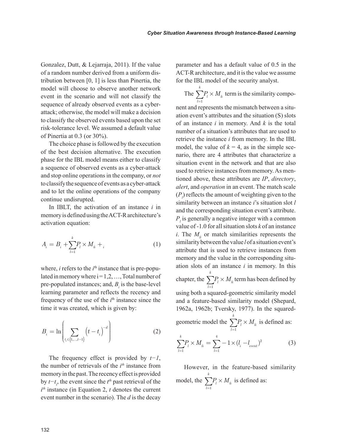Gonzalez, Dutt, & Lejarraja, 2011). If the value of a random number derived from a uniform distribution between [0, 1] is less than Pinertia, the model will choose to observe another network event in the scenario and will not classify the sequence of already observed events as a cyberattack; otherwise, the model will make a decision to classify the observed events based upon the set risk-tolerance level. We assumed a default value of Pinertia at 0.3 (or 30%).

The choice phase is followed by the execution of the best decision alternative. The execution phase for the IBL model means either to classify a sequence of observed events as a cyber-attack and stop online operations in the company, or *not* to classify the sequence of events as a cyber-attack and to let the online operations of the company continue undisrupted.

In IBLT, the activation of an instance *i* in memory is defined using the ACT-R architecture's activation equation:

$$
A_{i} = B_{i} + \sum_{l=1}^{k} P_{l} \times M_{li} + \tag{1}
$$

where, *i* refers to the *i*<sup>th</sup> instance that is pre-populated in memory where  $i = 1, 2, \ldots$ , Total number of pre-populated instances; and,  $B_i$  is the base-level learning parameter and reflects the recency and frequency of the use of the  $i<sup>th</sup>$  instance since the time it was created, which is given by:

$$
B_{i} = \ln \left( \sum_{t_{i} \in \{1, \ldots, t-1\}} \left( t - t_{i} \right)^{-d} \right) \tag{2}
$$

The frequency effect is provided by *t−1*, the number of retrievals of the *i th* instance from memory in the past. The recency effect is provided by *t−t*<sup>i</sup> , the event since the *t th* past retrieval of the  $i<sup>th</sup>$  instance (in Equation 2, *t* denotes the current event number in the scenario). The *d* is the decay

parameter and has a default value of 0.5 in the ACT-R architecture, and it is the value we assume for the IBL model of the security analyst.

The *l k*  $\Delta P_l \times M_{li}$  $\sum_{l=1} P_l \times$ term is the similarity compo-

nent and represents the mismatch between a situation event's attributes and the situation (S) slots of an instance *i* in memory. And *k* is the total number of a situation's attributes that are used to retrieve the instance *i* from memory. In the IBL model, the value of  $k = 4$ , as in the simple scenario, there are 4 attributes that characterize a situation event in the network and that are also used to retrieve instances from memory. As mentioned above, these attributes are *IP*, *directory*, *alert*, and *operation* in an event. The match scale  $(P<sub>l</sub>)$  reflects the amount of weighting given to the similarity between an instance *i*'s situation slot *l* and the corresponding situation event's attribute.  $P_i$  is generally a negative integer with a common value of -1.0 for all situation slots *k* of an instance *i*. The  $M<sub>i</sub>$  or match similarities represents the similarity between the value *l* of a situation event's attribute that is used to retrieve instances from memory and the value in the corresponding situation slots of an instance *i* in memory. In this chapter, the *l k*  $\Delta P_l \times M_{li}$  $\sum_{l=1} P_l \times$ term has been defined by using both a squared-geometric similarity model

and a feature-based similarity model (Shepard, 1962a, 1962b; Tversky, 1977). In the squaredgeometric model the *l k*  $\Delta P_l \times M_{li}$  $\sum_{l=1} P_l \times$ is defined as:

$$
\sum_{l=1}^{k} P_l \times M_{li} = \sum_{l=1}^{4} -1 \times (l_i - l_{event})^2 \tag{3}
$$

However, in the feature-based similarity model, the *l k*  $\Delta P_l \times M_{li}$  $\sum_{l=1} P_l \times$ is defined as: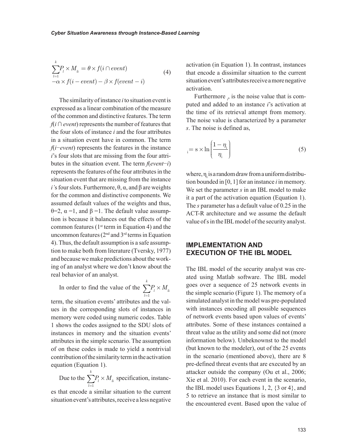$$
\sum_{l=1}^{k} P_l \times M_{li} = \theta \times f(i \cap event)
$$
  
- $\alpha \times f(i - event) - \beta \times f(event - i)$  (4)

The similarity of instance *i* to situation event is expressed as a linear combination of the measure of the common and distinctive features. The term *f*(*i* ∩ *event*) represents the number of features that the four slots of instance *i* and the four attributes in a situation event have in common. The term *f*(*i*−*event*) represents the features in the instance *i*'s four slots that are missing from the four attributes in the situation event. The term *f*(*event*−*i*) represents the features of the four attributes in the situation event that are missing from the instance *i*'s four slots. Furthermore,  $θ$ ,  $α$ , and  $β$  are weights for the common and distinctive components. We assumed default values of the weights and thus, θ=2,  $\alpha$  =1, and β =1. The default value assumption is because it balances out the effects of the common features ( $1<sup>st</sup>$  term in Equation 4) and the uncommon features ( $2<sup>nd</sup>$  and  $3<sup>rd</sup>$  terms in Equation 4). Thus, the default assumption is a safe assumption to make both from literature (Tversky, 1977) and because we make predictions about the working of an analyst where we don't know about the real behavior of an analyst.

In order to find the value of the *l k*  $\Delta P_l \times M_{li}$  $\sum_{l=1} P_l \times$ 

term, the situation events' attributes and the values in the corresponding slots of instances in memory were coded using numeric codes. Table 1 shows the codes assigned to the SDU slots of instances in memory and the situation events' attributes in the simple scenario. The assumption of on these codes is made to yield a nontrivial contribution of the similarity term in the activation equation (Equation 1).

Due to the *l k*  $\Delta P_l \times M_{li}$  $\sum_{l=1} P_l \times$ specification, instanc-

es that encode a similar situation to the current situation event's attributes, receive a less negative activation (in Equation 1). In contrast, instances that encode a dissimilar situation to the current situation event's attributes receive a more negative activation.

Furthermore  $\beta$  is the noise value that is computed and added to an instance *i*'s activation at the time of its retrieval attempt from memory. The noise value is characterized by a parameter *s*. The noise is defined as,

$$
T_{i} = s \times \ln\left(\frac{1 - \eta_{i}}{\eta_{i}}\right)
$$
 (5)

where,  $\eta_i$  is a random draw from a uniform distribution bounded in [0, 1] for an instance *i* in memory. We set the parameter *s* in an IBL model to make it a part of the activation equation (Equation 1). The *s* parameter has a default value of 0.25 in the ACT-R architecture and we assume the default value of s in the IBL model of the security analyst.

#### **IMPLEMENTATION AND EXECUTION OF THE IBL MODEL**

The IBL model of the security analyst was created using Matlab software. The IBL model goes over a sequence of 25 network events in the simple scenario (Figure 1). The memory of a simulated analyst in the model was pre-populated with instances encoding all possible sequences of network events based upon values of events' attributes. Some of these instances contained a threat value as the utility and some did not (more information below). Unbeknownst to the model (but known to the modeler), out of the 25 events in the scenario (mentioned above), there are 8 pre-defined threat events that are executed by an attacker outside the company (Ou et al., 2006; Xie et al. 2010). For each event in the scenario, the IBL model uses Equations 1, 2, {3 or 4}, and 5 to retrieve an instance that is most similar to the encountered event. Based upon the value of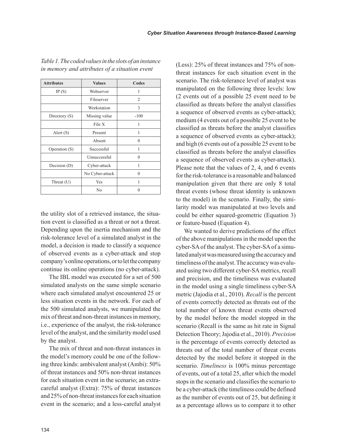| <b>Attributes</b> | <b>Values</b>   | Codes          |
|-------------------|-----------------|----------------|
| IP(S)             | Webserver       | 1              |
|                   | Fileserver      | $\overline{2}$ |
|                   | Workstation     | 3              |
| Directory $(S)$   | Missing value   | $-100$         |
|                   | File X          |                |
| Alert $(S)$       | Present         | 1              |
|                   | Absent          | $\Omega$       |
| Operation (S)     | Successful      | 1              |
|                   | Unsuccessful    | $\theta$       |
| Decision $(D)$    | Cyber-attack    | 1              |
|                   | No Cyber-attack | $\Omega$       |
| Threat $(U)$      | Yes             | 1              |
|                   | N <sub>0</sub>  | 0              |

*Table 1. The coded values in the slots of an instance in memory and attributes of a situation event* 

the utility slot of a retrieved instance, the situation event is classified as a threat or not a threat. Depending upon the inertia mechanism and the risk-tolerance level of a simulated analyst in the model, a decision is made to classify a sequence of observed events as a cyber-attack and stop company's online operations, or to let the company continue its online operations (no cyber-attack).

The IBL model was executed for a set of 500 simulated analysts on the same simple scenario where each simulated analyst encountered 25 or less situation events in the network. For each of the 500 simulated analysts, we manipulated the mix of threat and non-threat instances in memory, i.e., experience of the analyst, the risk-tolerance level of the analyst, and the similarity model used by the analyst.

The mix of threat and non-threat instances in the model's memory could be one of the following three kinds: ambivalent analyst (Ambi): 50% of threat instances and 50% non-threat instances for each situation event in the scenario; an extracareful analyst (Extra): 75% of threat instances and 25% of non-threat instances for each situation event in the scenario; and a less-careful analyst (Less): 25% of threat instances and 75% of nonthreat instances for each situation event in the scenario. The risk-tolerance level of analyst was manipulated on the following three levels: low (2 events out of a possible 25 event need to be classified as threats before the analyst classifies a sequence of observed events as cyber-attack); medium (4 events out of a possible 25 event to be classified as threats before the analyst classifies a sequence of observed events as cyber-attack); and high (6 events out of a possible 25 event to be classified as threats before the analyst classifies a sequence of observed events as cyber-attack). Please note that the values of 2, 4, and 6 events for the risk-tolerance is a reasonable and balanced manipulation given that there are only 8 total threat events (whose threat identity is unknown to the model) in the scenario. Finally, the similarity model was manipulated at two levels and could be either squared-geometric (Equation 3) or feature-based (Equation 4).

We wanted to derive predictions of the effect of the above manipulations in the model upon the cyber-SA of the analyst. The cyber-SA of a simulated analyst was measured using the accuracy and timeliness of the analyst. The accuracy was evaluated using two different cyber-SA metrics, recall and precision, and the timeliness was evaluated in the model using a single timeliness cyber-SA metric (Jajodia et al., 2010). *Recall* is the percent of events correctly detected as threats out of the total number of known threat events observed by the model before the model stopped in the scenario (Recall is the same as hit rate in Signal Detection Theory; Jajodia et al., 2010). *Precision* is the percentage of events correctly detected as threats out of the total number of threat events detected by the model before it stopped in the scenario. *Timeliness* is 100% minus percentage of events, out of a total 25, after which the model stops in the scenario and classifies the scenario to be a cyber-attack (the timeliness could be defined as the number of events out of 25, but defining it as a percentage allows us to compare it to other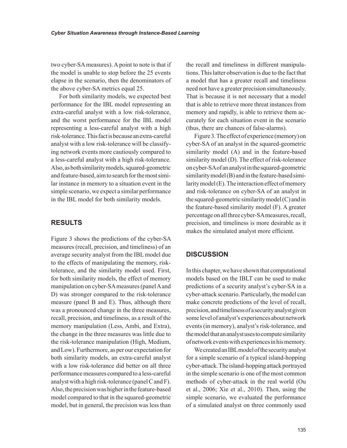two cyber-SA measures). A point to note is that if the model is unable to stop before the 25 events elapse in the scenario, then the denominators of the above cyber-SA metrics equal 25.

For both similarity models, we expected best performance for the IBL model representing an extra-careful analyst with a low risk-tolerance, and the worst performance for the IBL model representing a less-careful analyst with a high risk-tolerance. This fact is because an extra-careful analyst with a low risk-tolerance will be classifying network events more cautiously compared to a less-careful analyst with a high risk-tolerance. Also, as both similarity models, squared-geometric and feature-based, aim to search for the most similar instance in memory to a situation event in the simple scenario, we expect a similar performance in the IBL model for both similarity models.

#### **RESULTS**

Figure 3 shows the predictions of the cyber-SA measures (recall, precision, and timeliness) of an average security analyst from the IBL model due to the effects of manipulating the memory, risktolerance, and the similarity model used. First, for both similarity models, the effect of memory manipulation on cyber-SA measures (panel A and D) was stronger compared to the risk-tolerance measure (panel B and E). Thus, although there was a pronounced change in the three measures, recall, precision, and timeliness, as a result of the memory manipulation (Less, Ambi, and Extra), the change in the three measures was little due to the risk-tolerance manipulation (High, Medium, and Low). Furthermore, as per our expectation for both similarity models, an extra-careful analyst with a low risk-tolerance did better on all three performance measures compared to a less-careful analyst with a high risk-tolerance (panel C and F). Also, the precision was higher in the feature-based model compared to that in the squared-geometric model, but in general, the precision was less than the recall and timeliness in different manipulations. This latter observation is due to the fact that a model that has a greater recall and timeliness need not have a greater precision simultaneously. That is because it is not necessary that a model that is able to retrieve more threat instances from memory and rapidly, is able to retrieve them accurately for each situation event in the scenario (thus, there are chances of false-alarms).

Figure 3. The effect of experience (memory) on cyber-SA of an analyst in the squared-geometric similarity model (A) and in the feature-based similarity model (D). The effect of risk-tolerance on cyber-SA of an analyst in the squared-geometric similarity model (B) and in the feature-based similarity model (E). The interaction effect of memory and risk-tolerance on cyber-SA of an analyst in the squared-geometric similarity model (C) and in the feature-based similarity model (F). A greater percentage on all three cyber-SA measures, recall, precision, and timeliness is more desirable as it makes the simulated analyst more efficient.

#### **DISCUSSION**

In this chapter, we have shown that computational models based on the IBLT can be used to make predictions of a security analyst's cyber-SA in a cyber-attack scenario. Particularly, the model can make concrete predictions of the level of recall, precision, and timeliness of a security analyst given some level of analyst's experiences about network events (in memory), analyst's risk-tolerance, and the model that an analyst uses to compute similarity of network events with experiences in his memory.

We created an IBL model of the security analyst for a simple scenario of a typical island-hopping cyber-attack. The island-hopping attack portrayed in the simple scenario is one of the most common methods of cyber-attack in the real world (Ou et al., 2006; Xie et al., 2010). Then, using the simple scenario, we evaluated the performance of a simulated analyst on three commonly used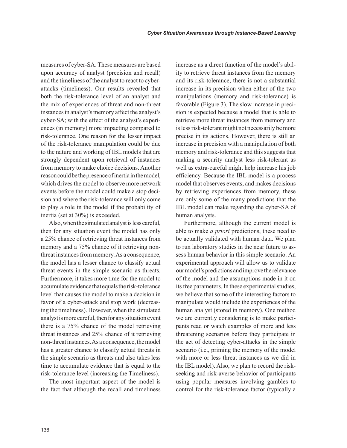measures of cyber-SA. These measures are based upon accuracy of analyst (precision and recall) and the timeliness of the analyst to react to cyberattacks (timeliness). Our results revealed that both the risk-tolerance level of an analyst and the mix of experiences of threat and non-threat instances in analyst's memory affect the analyst's cyber-SA; with the effect of the analyst's experiences (in memory) more impacting compared to risk-tolerance. One reason for the lesser impact of the risk-tolerance manipulation could be due to the nature and working of IBL models that are strongly dependent upon retrieval of instances from memory to make choice decisions. Another reason could be the presence of inertia in the model, which drives the model to observe more network events before the model could make a stop decision and where the risk-tolerance will only come to play a role in the model if the probability of inertia (set at 30%) is exceeded.

Also, when the simulated analyst is less careful, then for any situation event the model has only a 25% chance of retrieving threat instances from memory and a 75% chance of it retrieving nonthreat instances from memory. As a consequence, the model has a lesser chance to classify actual threat events in the simple scenario as threats. Furthermore, it takes more time for the model to accumulate evidence that equals the risk-tolerance level that causes the model to make a decision in favor of a cyber-attack and stop work (decreasing the timeliness). However, when the simulated analyst is more careful, then for any situation event there is a 75% chance of the model retrieving threat instances and 25% chance of it retrieving non-threat instances. As a consequence, the model has a greater chance to classify actual threats in the simple scenario as threats and also takes less time to accumulate evidence that is equal to the risk-tolerance level (increasing the Timeliness).

The most important aspect of the model is the fact that although the recall and timeliness increase as a direct function of the model's ability to retrieve threat instances from the memory and its risk-tolerance, there is not a substantial increase in its precision when either of the two manipulations (memory and risk-tolerance) is favorable (Figure 3). The slow increase in precision is expected because a model that is able to retrieve more threat instances from memory and is less risk-tolerant might not necessarily be more precise in its actions. However, there is still an increase in precision with a manipulation of both memory and risk-tolerance and this suggests that making a security analyst less risk-tolerant as well as extra-careful might help increase his job efficiency. Because the IBL model is a process model that observes events, and makes decisions by retrieving experiences from memory, these are only some of the many predictions that the IBL model can make regarding the cyber-SA of human analysts.

Furthermore, although the current model is able to make *a priori* predictions, these need to be actually validated with human data. We plan to run laboratory studies in the near future to assess human behavior in this simple scenario. An experimental approach will allow us to validate our model's predictions and improve the relevance of the model and the assumptions made in it on its free parameters. In these experimental studies, we believe that some of the interesting factors to manipulate would include the experiences of the human analyst (stored in memory). One method we are currently considering is to make participants read or watch examples of more and less threatening scenarios before they participate in the act of detecting cyber-attacks in the simple scenario (i.e., priming the memory of the model with more or less threat instances as we did in the IBL model). Also, we plan to record the riskseeking and risk-averse behavior of participants using popular measures involving gambles to control for the risk-tolerance factor (typically a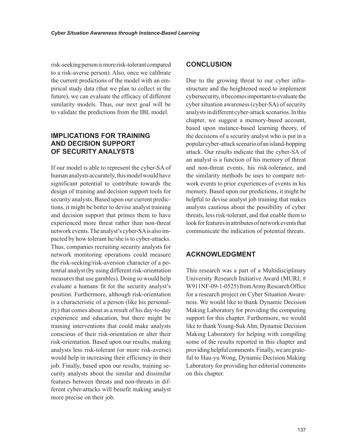risk-seeking person is more risk-tolerant compared to a risk-averse person). Also, once we calibrate the current predictions of the model with an empirical study data (that we plan to collect in the future), we can evaluate the efficacy of different similarity models. Thus, our next goal will be to validate the predictions from the IBL model.

#### **IMPLICATIONS FOR TRAINING AND DECISION SUPPORT OF SECURITY ANALYSTS**

If our model is able to represent the cyber-SA of human analysts accurately, this model would have significant potential to contribute towards the design of training and decision support tools for security analysts. Based upon our current predictions, it might be better to devise analyst training and decision support that primes them to have experienced more threat rather than non-threat network events. The analyst's cyber-SA is also impacted by how tolerant he/she is to cyber-attacks. Thus, companies recruiting security analysts for network monitoring operations could measure the risk-seeking/risk-aversion character of a potential analyst (by using different risk-orientation measures that use gambles). Doing so would help evaluate a humans fit for the security analyst's position. Furthermore, although risk-orientation is a characteristic of a person (like his personality) that comes about as a result of his day-to-day experience and education, but there might be training interventions that could make analysts conscious of their risk-orientation or alter their risk-orientation. Based upon our results, making analysts less risk-tolerant (or more risk-averse) would help in increasing their efficiency in their job. Finally, based upon our results, training security analysts about the similar and dissimilar features between threats and non-threats in different cyber-attacks will benefit making analyst more precise on their job.

#### **CONCLUSION**

Due to the growing threat to our cyber infrastructure and the heightened need to implement cybersecurity, it becomes important to evaluate the cyber situation awareness (cyber-SA) of security analysts in different cyber-attack scenarios. In this chapter, we suggest a memory-based account, based upon instance-based learning theory, of the decisions of a security analyst who is put in a popular cyber-attack scenario of an island-hopping attack. Our results indicate that the cyber-SA of an analyst is a function of his memory of threat and non-threat events, his risk-tolerance, and the similarity methods he uses to compare network events to prior experiences of events in his memory. Based upon our predictions, it might be helpful to devise analyst job training that makes analysts cautious about the possibility of cyber threats, less risk-tolerant, and that enable them to look for features in attributes of network events that communicate the indication of potential threats.

#### **ACKNOWLEDGMENT**

This research was a part of a Multidisciplinary University Research Initiative Award (MURI; # W911NF-09-1-0525) from Army Research Office for a research project on Cyber Situation Awareness. We would like to thank Dynamic Decision Making Laboratory for providing the computing support for this chapter. Furthermore, we would like to thank Young-Suk Ahn, Dynamic Decision Making Laboratory for helping with compiling some of the results reported in this chapter and providing helpful comments. Finally, we are grateful to Hau-yu Wong, Dynamic Decision Making Laboratory for providing her editorial comments on this chapter.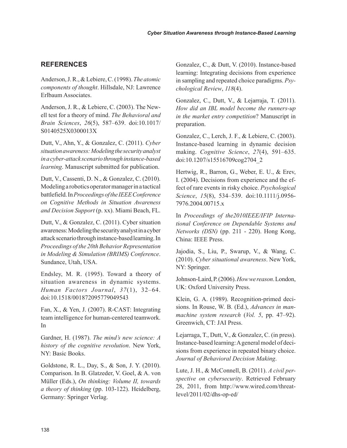#### **REFERENCES**

Anderson, J. R., & Lebiere, C. (1998). *The atomic components of thought*. Hillsdale, NJ: Lawrence Erlbaum Associates.

Anderson, J. R., & Lebiere, C. (2003). The Newell test for a theory of mind. *The Behavioral and Brain Sciences*, *26*(5), 587–639. doi:10.1017/ S0140525X0300013X

Dutt, V., Ahn, Y., & Gonzalez, C. (2011). *Cyber situation awareness: Modeling the security analyst in a cyber-attack scenario through instance-based learning*. Manuscript submitted for publication.

Dutt, V., Cassenti, D. N., & Gonzalez, C. (2010). Modeling a robotics operator manager in a tactical battlefield. In *Proceedings of the IEEE Conference on Cognitive Methods in Situation Awareness and Decision Support* (p. xx). Miami Beach, FL.

Dutt, V., & Gonzalez, C. (2011). Cyber situation awareness: Modeling the security analyst in a cyber attack scenario through instance-based learning. In *Proceedings of the 20th Behavior Representation in Modeling & Simulation (BRIMS) Conference*. Sundance, Utah, USA.

Endsley, M. R. (1995). Toward a theory of situation awareness in dynamic systems. *Human Factors Journal*, *37*(1), 32–64. doi:10.1518/001872095779049543

Fan, X., & Yen, J. (2007). R-CAST: Integrating team intelligence for human-centered teamwork. In

Gardner, H. (1987). *The mind's new science: A history of the cognitive revolution*. New York, NY: Basic Books.

Goldstone, R. L., Day, S., & Son, J. Y. (2010). Comparison. In B. Glatzeder, V. Goel, & A. von Müller (Eds.), *On thinking: Volume II, towards a theory of thinking* (pp. 103-122). Heidelberg, Germany: Springer Verlag.

Gonzalez, C., & Dutt, V. (2010). Instance-based learning: Integrating decisions from experience in sampling and repeated choice paradigms. *Psychological Review*, *118*(4).

Gonzalez, C., Dutt, V., & Lejarraja, T. (2011). *How did an IBL model become the runners-up in the market entry competition*? Manuscript in preparation.

Gonzalez, C., Lerch, J. F., & Lebiere, C. (2003). Instance-based learning in dynamic decision making. *Cognitive Science*, *27*(4), 591–635. doi:10.1207/s15516709cog2704\_2

Hertwig, R., Barron, G., Weber, E. U., & Erev, I. (2004). Decisions from experience and the effect of rare events in risky choice. *Psychological Science*, *15*(8), 534–539. doi:10.1111/j.0956- 7976.2004.00715.x

In *Proceedings of the2010IEEE/IFIP International Conference on Dependable Systems and Networks (DSN)* (pp. 211 - 220). Hong Kong, China: IEEE Press.

Jajodia, S., Liu, P., Swarup, V., & Wang, C. (2010). *Cyber situational awareness*. New York, NY: Springer.

Johnson-Laird, P. (2006). *How we reason*. London, UK: Oxford University Press.

Klein, G. A. (1989). Recognition-primed decisions. In Rouse, W. B. (Ed.), *Advances in manmachine system research* (*Vol. 5*, pp. 47–92). Greenwich, CT: JAI Press.

Lejarraga, T., Dutt, V., & Gonzalez, C. (in press). Instance-based learning: A general model of decisions from experience in repeated binary choice. *Journal of Behavioral Decision Making*.

Lute, J. H., & McConnell, B. (2011). *A civil perspective on cybersecurity*. Retrieved February 28, 2011, from http://www.wired.com/threatlevel/2011/02/dhs-op-ed/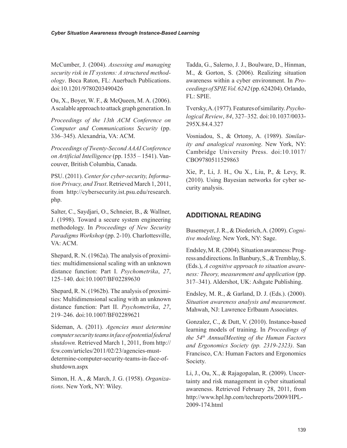McCumber, J. (2004). *Assessing and managing security risk in IT systems: A structured methodology*. Boca Raton, FL: Auerbach Publications. doi:10.1201/9780203490426

Ou, X., Boyer, W. F., & McQueen, M. A. (2006). A scalable approach to attack graph generation. In

*Proceedings of the 13th ACM Conference on Computer and Communications Security* (pp. 336–345). Alexandria, VA: ACM.

*Proceedings of Twenty-Second AAAI Conference on Artificial Intelligence* (pp. 1535 – 1541). Vancouver, British Columbia, Canada.

PSU. (2011). *Center for cyber-security, Information Privacy, and Trust*. Retrieved March 1, 2011, from http://cybersecurity.ist.psu.edu/research. php.

Salter, C., Saydjari, O., Schneier, B., & Wallner, J. (1998). Toward a secure system engineering methodology. In *Proceedings of New Security Paradigms Workshop* (pp. 2-10). Charlottesville, VA: ACM.

Shepard, R. N. (1962a). The analysis of proximities: multidimensional scaling with an unknown distance function: Part I. *Psychometrika*, *27*, 125–140. doi:10.1007/BF02289630

Shepard, R. N. (1962b). The analysis of proximities: Multidimensional scaling with an unknown distance function: Part II. *Psychometrika*, *27*, 219–246. doi:10.1007/BF02289621

Sideman, A. (2011). *Agencies must determine computer security teams in face of potential federal shutdown.* Retrieved March 1, 2011, from http:// fcw.com/articles/2011/02/23/agencies-mustdetermine-computer-security-teams-in-face-ofshutdown.aspx

Simon, H. A., & March, J. G. (1958). *Organizations*. New York, NY: Wiley.

Tadda, G., Salerno, J. J., Boulware, D., Hinman, M., & Gorton, S. (2006). Realizing situation awareness within a cyber environment. In *Proceedings of SPIE Vol. 6242* (pp. 624204). Orlando, FL: SPIE.

Tversky, A. (1977). Features of similarity. *Psychological Review*, *84*, 327–352. doi:10.1037/0033- 295X.84.4.327

Vosniadou, S., & Ortony, A. (1989). *Similarity and analogical reasoning*. New York, NY: Cambridge University Press. doi:10.1017/ CBO9780511529863

Xie, P., Li, J. H., Ou X., Liu, P., & Levy, R. (2010). Using Bayesian networks for cyber security analysis.

#### **ADDITIONAL READING**

Busemeyer, J. R., & Diederich, A. (2009). *Cognitive modeling*. New York, NY: Sage.

Endsley, M. R. (2004). Situation awareness: Progress and directions. In Banbury, S., & Tremblay, S. (Eds.), *A cognitive approach to situation awareness: Theory, measurement and application* (pp. 317–341). Aldershot, UK: Ashgate Publishing.

Endsley, M. R., & Garland, D. J. (Eds.). (2000). *Situation awareness analysis and measurement*. Mahwah, NJ: Lawrence Erlbaum Associates.

Gonzalez, C., & Dutt, V. (2010). Instance-based learning models of training. In *Proceedings of the 54th AnnualMeeting of the Human Factors and Ergonomics Society (pp. 2319-2323)*. San Francisco, CA: Human Factors and Ergonomics Society.

Li, J., Ou, X., & Rajagopalan, R. (2009). Uncertainty and risk management in cyber situational awareness. Retrieved February 28, 2011, from http://www.hpl.hp.com/techreports/2009/HPL-2009-174.html